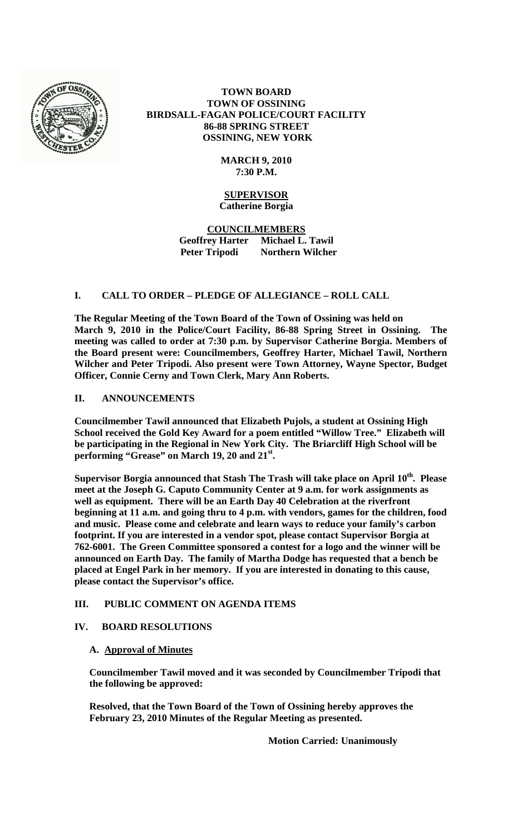

# **TOWN BOARD TOWN OF OSSINING BIRDSALL-FAGAN POLICE/COURT FACILITY 86-88 SPRING STREET OSSINING, NEW YORK**

### **MARCH 9, 2010 7:30 P.M.**

# **SUPERVISOR Catherine Borgia**

**COUNCILMEMBERS Geoffrey Harter Michael L. Tawil Peter Tripodi Northern Wilcher**

# **I. CALL TO ORDER – PLEDGE OF ALLEGIANCE – ROLL CALL**

**The Regular Meeting of the Town Board of the Town of Ossining was held on March 9, 2010 in the Police/Court Facility, 86-88 Spring Street in Ossining. The meeting was called to order at 7:30 p.m. by Supervisor Catherine Borgia. Members of the Board present were: Councilmembers, Geoffrey Harter, Michael Tawil, Northern Wilcher and Peter Tripodi. Also present were Town Attorney, Wayne Spector, Budget Officer, Connie Cerny and Town Clerk, Mary Ann Roberts.**

# **II. ANNOUNCEMENTS**

**Councilmember Tawil announced that Elizabeth Pujols, a student at Ossining High School received the Gold Key Award for a poem entitled "Willow Tree." Elizabeth will be participating in the Regional in New York City. The Briarcliff High School will be performing "Grease" on March 19, 20 and 21st.**

**Supervisor Borgia announced that Stash The Trash will take place on April 10th. Please meet at the Joseph G. Caputo Community Center at 9 a.m. for work assignments as well as equipment. There will be an Earth Day 40 Celebration at the riverfront beginning at 11 a.m. and going thru to 4 p.m. with vendors, games for the children, food and music. Please come and celebrate and learn ways to reduce your family's carbon footprint. If you are interested in a vendor spot, please contact Supervisor Borgia at 762-6001. The Green Committee sponsored a contest for a logo and the winner will be announced on Earth Day. The family of Martha Dodge has requested that a bench be placed at Engel Park in her memory. If you are interested in donating to this cause, please contact the Supervisor's office.**

# **III. PUBLIC COMMENT ON AGENDA ITEMS**

### **IV. BOARD RESOLUTIONS**

### **A. Approval of Minutes**

**Councilmember Tawil moved and it was seconded by Councilmember Tripodi that the following be approved:**

**Resolved, that the Town Board of the Town of Ossining hereby approves the February 23, 2010 Minutes of the Regular Meeting as presented.**

**Motion Carried: Unanimously**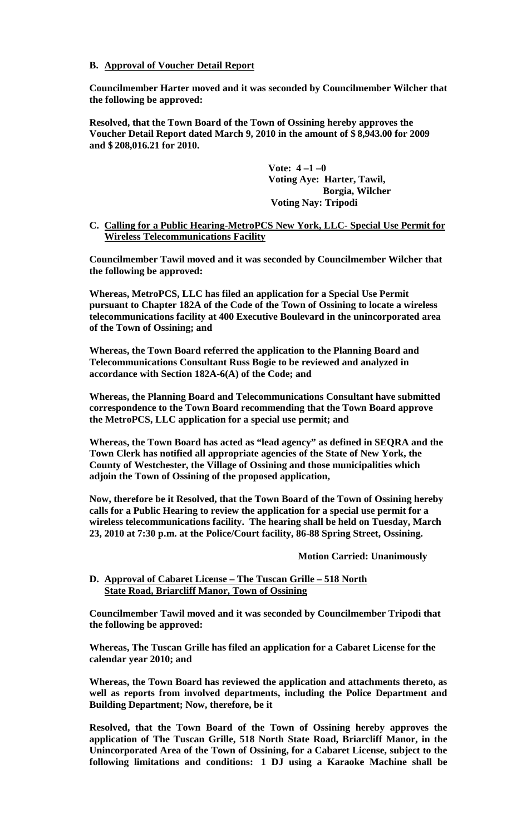#### **B. Approval of Voucher Detail Report**

**Councilmember Harter moved and it was seconded by Councilmember Wilcher that the following be approved:**

**Resolved, that the Town Board of the Town of Ossining hereby approves the Voucher Detail Report dated March 9, 2010 in the amount of \$ 8,943.00 for 2009 and \$ 208,016.21 for 2010.**

> **Vote: 4 –1 –0 Voting Aye: Harter, Tawil, Borgia, Wilcher Voting Nay: Tripodi**

**C. Calling for a Public Hearing-MetroPCS New York, LLC- Special Use Permit for Wireless Telecommunications Facility**

**Councilmember Tawil moved and it was seconded by Councilmember Wilcher that the following be approved:**

**Whereas, MetroPCS, LLC has filed an application for a Special Use Permit pursuant to Chapter 182A of the Code of the Town of Ossining to locate a wireless telecommunications facility at 400 Executive Boulevard in the unincorporated area of the Town of Ossining; and**

**Whereas, the Town Board referred the application to the Planning Board and Telecommunications Consultant Russ Bogie to be reviewed and analyzed in accordance with Section 182A-6(A) of the Code; and**

**Whereas, the Planning Board and Telecommunications Consultant have submitted correspondence to the Town Board recommending that the Town Board approve the MetroPCS, LLC application for a special use permit; and**

**Whereas, the Town Board has acted as "lead agency" as defined in SEQRA and the Town Clerk has notified all appropriate agencies of the State of New York, the County of Westchester, the Village of Ossining and those municipalities which adjoin the Town of Ossining of the proposed application,**

**Now, therefore be it Resolved, that the Town Board of the Town of Ossining hereby calls for a Public Hearing to review the application for a special use permit for a wireless telecommunications facility. The hearing shall be held on Tuesday, March 23, 2010 at 7:30 p.m. at the Police/Court facility, 86-88 Spring Street, Ossining.** 

**Motion Carried: Unanimously**

#### **D. Approval of Cabaret License – The Tuscan Grille – 518 North State Road, Briarcliff Manor, Town of Ossining**

**Councilmember Tawil moved and it was seconded by Councilmember Tripodi that the following be approved:**

**Whereas, The Tuscan Grille has filed an application for a Cabaret License for the calendar year 2010; and**

**Whereas, the Town Board has reviewed the application and attachments thereto, as well as reports from involved departments, including the Police Department and Building Department; Now, therefore, be it**

**Resolved, that the Town Board of the Town of Ossining hereby approves the application of The Tuscan Grille, 518 North State Road, Briarcliff Manor, in the Unincorporated Area of the Town of Ossining, for a Cabaret License, subject to the following limitations and conditions: 1 DJ using a Karaoke Machine shall be**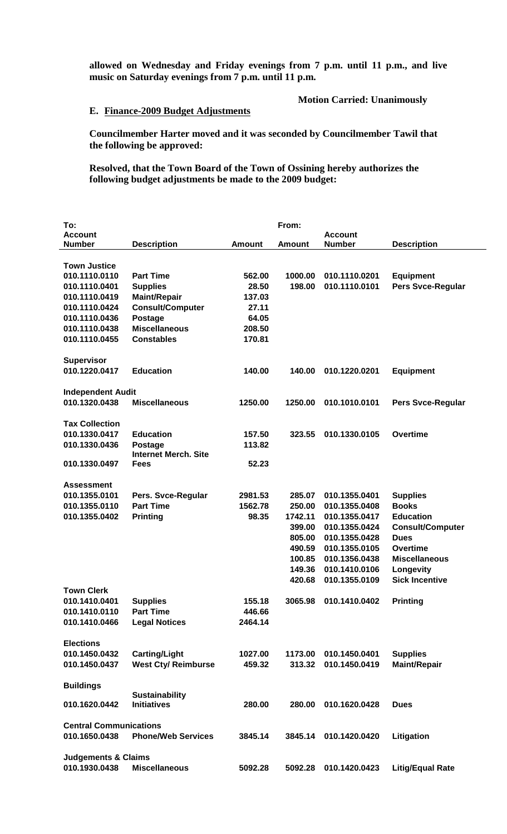**allowed on Wednesday and Friday evenings from 7 p.m. until 11 p.m., and live music on Saturday evenings from 7 p.m. until 11 p.m.**

### **Motion Carried: Unanimously**

#### **E. Finance-2009 Budget Adjustments**

**Councilmember Harter moved and it was seconded by Councilmember Tawil that the following be approved:**

**Resolved, that the Town Board of the Town of Ossining hereby authorizes the following budget adjustments be made to the 2009 budget:**

| To:                            |                             |               | From:   |                |                          |
|--------------------------------|-----------------------------|---------------|---------|----------------|--------------------------|
| <b>Account</b>                 |                             |               |         | <b>Account</b> |                          |
| <b>Number</b>                  | <b>Description</b>          | <b>Amount</b> | Amount  | <b>Number</b>  | <b>Description</b>       |
|                                |                             |               |         |                |                          |
| <b>Town Justice</b>            |                             |               |         |                |                          |
| 010.1110.0110                  | <b>Part Time</b>            | 562.00        | 1000.00 | 010.1110.0201  | <b>Equipment</b>         |
| 010.1110.0401                  | <b>Supplies</b>             | 28.50         | 198.00  | 010.1110.0101  | <b>Pers Svce-Regular</b> |
| 010.1110.0419                  | <b>Maint/Repair</b>         | 137.03        |         |                |                          |
| 010.1110.0424                  | <b>Consult/Computer</b>     | 27.11         |         |                |                          |
| 010.1110.0436                  | <b>Postage</b>              | 64.05         |         |                |                          |
| 010.1110.0438                  | <b>Miscellaneous</b>        | 208.50        |         |                |                          |
| 010.1110.0455                  | <b>Constables</b>           | 170.81        |         |                |                          |
|                                |                             |               |         |                |                          |
| <b>Supervisor</b>              |                             |               |         |                |                          |
| 010.1220.0417                  | <b>Education</b>            | 140.00        | 140.00  | 010.1220.0201  | <b>Equipment</b>         |
|                                |                             |               |         |                |                          |
| <b>Independent Audit</b>       |                             |               |         |                |                          |
| 010.1320.0438                  | <b>Miscellaneous</b>        | 1250.00       | 1250.00 | 010.1010.0101  | Pers Svce-Regular        |
|                                |                             |               |         |                |                          |
| <b>Tax Collection</b>          |                             |               |         |                |                          |
| 010.1330.0417                  | <b>Education</b>            | 157.50        | 323.55  | 010.1330.0105  | Overtime                 |
| 010.1330.0436                  | Postage                     | 113.82        |         |                |                          |
|                                | <b>Internet Merch, Site</b> |               |         |                |                          |
| 010.1330.0497                  | Fees                        | 52.23         |         |                |                          |
|                                |                             |               |         |                |                          |
| <b>Assessment</b>              |                             |               |         |                |                          |
| 010.1355.0101                  | Pers. Svce-Regular          | 2981.53       | 285.07  | 010.1355.0401  | <b>Supplies</b>          |
| 010.1355.0110                  | <b>Part Time</b>            | 1562.78       | 250.00  | 010.1355.0408  | <b>Books</b>             |
| 010.1355.0402                  | <b>Printing</b>             | 98.35         | 1742.11 | 010.1355.0417  | <b>Education</b>         |
|                                |                             |               | 399.00  | 010.1355.0424  | <b>Consult/Computer</b>  |
|                                |                             |               | 805.00  | 010.1355.0428  | <b>Dues</b>              |
|                                |                             |               | 490.59  | 010.1355.0105  | Overtime                 |
|                                |                             |               | 100.85  | 010.1356.0438  | <b>Miscellaneous</b>     |
|                                |                             |               | 149.36  | 010.1410.0106  | Longevity                |
|                                |                             |               | 420.68  | 010.1355.0109  | <b>Sick Incentive</b>    |
| <b>Town Clerk</b>              |                             |               |         |                |                          |
| 010.1410.0401                  | <b>Supplies</b>             | 155.18        | 3065.98 | 010.1410.0402  | <b>Printing</b>          |
| 010.1410.0110                  | <b>Part Time</b>            | 446.66        |         |                |                          |
| 010.1410.0466                  | <b>Legal Notices</b>        | 2464.14       |         |                |                          |
|                                |                             |               |         |                |                          |
| <b>Elections</b>               |                             |               |         |                |                          |
| 010.1450.0432                  | <b>Carting/Light</b>        | 1027.00       | 1173.00 | 010.1450.0401  | <b>Supplies</b>          |
| 010.1450.0437                  | <b>West Cty/ Reimburse</b>  | 459.32        | 313.32  | 010.1450.0419  | <b>Maint/Repair</b>      |
|                                |                             |               |         |                |                          |
| <b>Buildings</b>               |                             |               |         |                |                          |
|                                | <b>Sustainability</b>       |               |         |                |                          |
| 010.1620.0442                  | <b>Initiatives</b>          | 280.00        | 280.00  | 010.1620.0428  | <b>Dues</b>              |
|                                |                             |               |         |                |                          |
| <b>Central Communications</b>  |                             |               |         |                |                          |
| 010.1650.0438                  | <b>Phone/Web Services</b>   | 3845.14       | 3845.14 | 010.1420.0420  | Litigation               |
|                                |                             |               |         |                |                          |
| <b>Judgements &amp; Claims</b> |                             |               |         |                |                          |
| 010.1930.0438                  | <b>Miscellaneous</b>        | 5092.28       | 5092.28 | 010.1420.0423  | <b>Litig/Equal Rate</b>  |
|                                |                             |               |         |                |                          |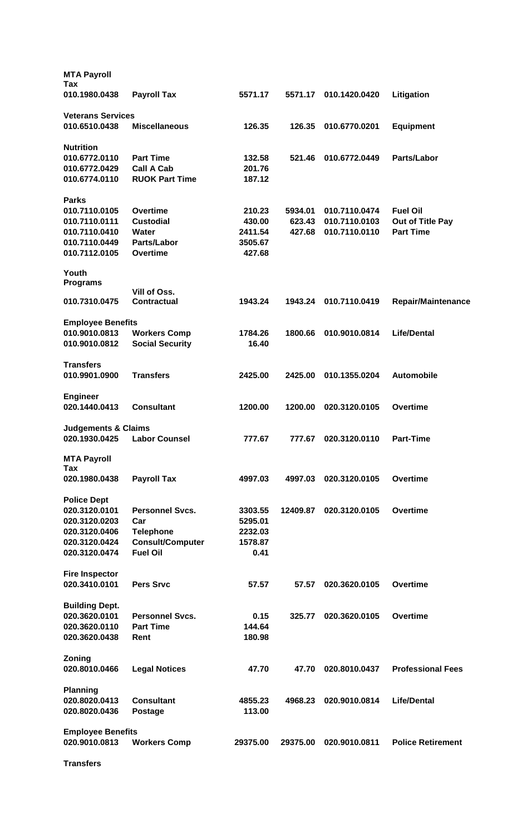| <b>MTA Payroll</b>                        |                         |          |          |               |                           |
|-------------------------------------------|-------------------------|----------|----------|---------------|---------------------------|
| Tax<br>010.1980.0438                      | <b>Payroll Tax</b>      | 5571.17  | 5571.17  | 010.1420.0420 | Litigation                |
| <b>Veterans Services</b>                  |                         |          |          |               |                           |
| 010.6510.0438                             | <b>Miscellaneous</b>    | 126.35   | 126.35   | 010.6770.0201 | <b>Equipment</b>          |
| <b>Nutrition</b>                          |                         |          |          |               |                           |
| 010.6772.0110                             | <b>Part Time</b>        | 132.58   | 521.46   | 010.6772.0449 | Parts/Labor               |
| 010.6772.0429                             | <b>Call A Cab</b>       | 201.76   |          |               |                           |
| 010.6774.0110                             | <b>RUOK Part Time</b>   | 187.12   |          |               |                           |
| <b>Parks</b>                              |                         |          |          |               |                           |
| 010.7110.0105                             | <b>Overtime</b>         | 210.23   | 5934.01  | 010.7110.0474 | <b>Fuel Oil</b>           |
| 010.7110.0111                             | <b>Custodial</b>        | 430.00   | 623.43   | 010.7110.0103 | Out of Title Pay          |
| 010.7110.0410                             | Water                   | 2411.54  | 427.68   | 010.7110.0110 | <b>Part Time</b>          |
| 010.7110.0449                             | <b>Parts/Labor</b>      | 3505.67  |          |               |                           |
| 010.7112.0105                             | <b>Overtime</b>         | 427.68   |          |               |                           |
| Youth<br><b>Programs</b>                  |                         |          |          |               |                           |
|                                           | Vill of Oss.            |          |          |               |                           |
| 010.7310.0475                             | <b>Contractual</b>      | 1943.24  | 1943.24  | 010.7110.0419 | <b>Repair/Maintenance</b> |
| <b>Employee Benefits</b>                  |                         |          |          |               |                           |
| 010.9010.0813                             | <b>Workers Comp</b>     | 1784.26  | 1800.66  | 010.9010.0814 | <b>Life/Dental</b>        |
| 010.9010.0812                             | <b>Social Security</b>  | 16.40    |          |               |                           |
|                                           |                         |          |          |               |                           |
| <b>Transfers</b><br>010.9901.0900         | <b>Transfers</b>        | 2425.00  | 2425.00  | 010.1355.0204 | <b>Automobile</b>         |
| <b>Engineer</b>                           |                         |          |          |               |                           |
| 020.1440.0413                             | <b>Consultant</b>       | 1200.00  | 1200.00  | 020.3120.0105 | <b>Overtime</b>           |
| <b>Judgements &amp; Claims</b>            |                         |          |          |               |                           |
| 020.1930.0425                             | <b>Labor Counsel</b>    | 777.67   | 777.67   | 020.3120.0110 | <b>Part-Time</b>          |
| <b>MTA Payroll</b>                        |                         |          |          |               |                           |
| Tax                                       |                         |          |          |               |                           |
| 020.1980.0438                             | <b>Payroll Tax</b>      | 4997.03  | 4997.03  | 020.3120.0105 | <b>Overtime</b>           |
| <b>Police Dept</b>                        |                         |          |          |               |                           |
| 020.3120.0101                             | <b>Personnel Sycs.</b>  | 3303.55  | 12409.87 | 020.3120.0105 | <b>Overtime</b>           |
| 020.3120.0203                             | Car                     | 5295.01  |          |               |                           |
| 020.3120.0406                             | <b>Telephone</b>        | 2232.03  |          |               |                           |
| 020.3120.0424                             | <b>Consult/Computer</b> | 1578.87  |          |               |                           |
| 020.3120.0474                             | <b>Fuel Oil</b>         | 0.41     |          |               |                           |
| <b>Fire Inspector</b>                     |                         |          |          |               |                           |
| 020.3410.0101                             | <b>Pers Srvc</b>        | 57.57    | 57.57    | 020.3620.0105 | Overtime                  |
| <b>Building Dept.</b>                     |                         |          |          |               |                           |
| 020.3620.0101                             | <b>Personnel Svcs.</b>  | 0.15     | 325.77   | 020.3620.0105 | Overtime                  |
| 020.3620.0110                             | <b>Part Time</b>        | 144.64   |          |               |                           |
|                                           |                         |          |          |               |                           |
| 020.3620.0438                             | Rent                    | 180.98   |          |               |                           |
| Zoning                                    |                         |          |          |               |                           |
| 020.8010.0466                             | <b>Legal Notices</b>    | 47.70    | 47.70    | 020.8010.0437 | <b>Professional Fees</b>  |
| <b>Planning</b>                           |                         |          |          |               |                           |
| 020.8020.0413                             | <b>Consultant</b>       | 4855.23  | 4968.23  | 020.9010.0814 | <b>Life/Dental</b>        |
| 020.8020.0436                             | <b>Postage</b>          | 113.00   |          |               |                           |
|                                           |                         |          |          |               |                           |
| <b>Employee Benefits</b><br>020.9010.0813 | <b>Workers Comp</b>     | 29375.00 | 29375.00 | 020.9010.0811 | <b>Police Retirement</b>  |
|                                           |                         |          |          |               |                           |
| <b>Transfers</b>                          |                         |          |          |               |                           |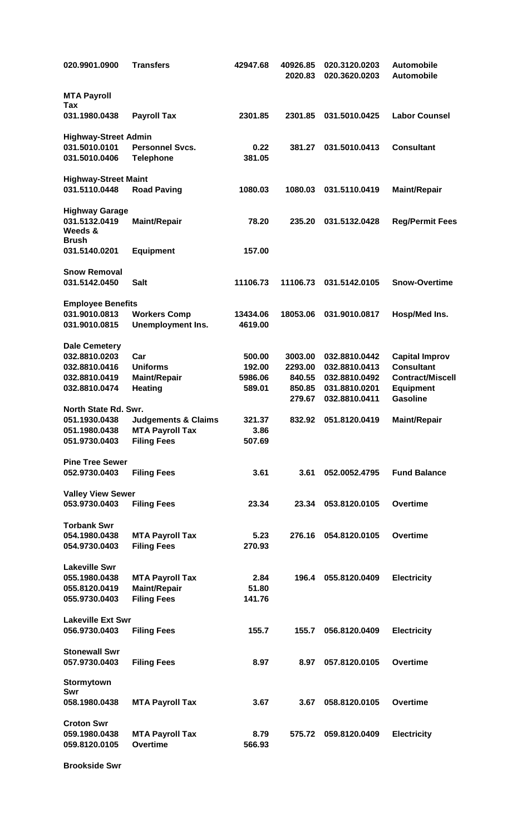| 020.9901.0900               | <b>Transfers</b>               | 42947.68 | 40926.85<br>2020.83 | 020.3120.0203<br>020.3620.0203 | <b>Automobile</b><br><b>Automobile</b> |
|-----------------------------|--------------------------------|----------|---------------------|--------------------------------|----------------------------------------|
| <b>MTA Payroll</b><br>Tax   |                                |          |                     |                                |                                        |
| 031.1980.0438               | <b>Payroll Tax</b>             | 2301.85  | 2301.85             | 031.5010.0425                  | <b>Labor Counsel</b>                   |
| <b>Highway-Street Admin</b> |                                |          |                     |                                |                                        |
| 031.5010.0101               | <b>Personnel Svcs.</b>         | 0.22     | 381.27              | 031.5010.0413                  | <b>Consultant</b>                      |
| 031.5010.0406               | <b>Telephone</b>               | 381.05   |                     |                                |                                        |
| <b>Highway-Street Maint</b> |                                |          |                     |                                |                                        |
| 031.5110.0448               | <b>Road Paving</b>             | 1080.03  | 1080.03             | 031.5110.0419                  | <b>Maint/Repair</b>                    |
| <b>Highway Garage</b>       |                                |          |                     |                                |                                        |
| 031.5132.0419               | <b>Maint/Repair</b>            | 78.20    | 235.20              | 031.5132.0428                  | <b>Reg/Permit Fees</b>                 |
| Weeds &                     |                                |          |                     |                                |                                        |
| <b>Brush</b>                |                                |          |                     |                                |                                        |
| 031.5140.0201               | <b>Equipment</b>               | 157.00   |                     |                                |                                        |
| <b>Snow Removal</b>         |                                |          |                     |                                |                                        |
| 031.5142.0450               | <b>Salt</b>                    | 11106.73 | 11106.73            | 031.5142.0105                  | <b>Snow-Overtime</b>                   |
|                             |                                |          |                     |                                |                                        |
| <b>Employee Benefits</b>    |                                |          |                     |                                |                                        |
| 031.9010.0813               | <b>Workers Comp</b>            | 13434.06 | 18053.06            | 031.9010.0817                  | Hosp/Med Ins.                          |
| 031.9010.0815               | <b>Unemployment Ins.</b>       | 4619.00  |                     |                                |                                        |
| <b>Dale Cemetery</b>        |                                |          |                     |                                |                                        |
| 032.8810.0203               | Car                            | 500.00   | 3003.00             | 032.8810.0442                  | <b>Capital Improv</b>                  |
| 032.8810.0416               | <b>Uniforms</b>                | 192.00   | 2293.00             | 032.8810.0413                  | <b>Consultant</b>                      |
| 032.8810.0419               | <b>Maint/Repair</b>            | 5986.06  | 840.55              | 032.8810.0492                  | <b>Contract/Miscell</b>                |
| 032.8810.0474               | <b>Heating</b>                 | 589.01   | 850.85              | 031.8810.0201                  | <b>Equipment</b>                       |
|                             |                                |          | 279.67              | 032.8810.0411                  | <b>Gasoline</b>                        |
| North State Rd. Swr.        |                                |          |                     |                                |                                        |
| 051.1930.0438               | <b>Judgements &amp; Claims</b> | 321.37   | 832.92              | 051.8120.0419                  | <b>Maint/Repair</b>                    |
| 051.1980.0438               | <b>MTA Payroll Tax</b>         | 3.86     |                     |                                |                                        |
| 051.9730.0403               | <b>Filing Fees</b>             | 507.69   |                     |                                |                                        |
| <b>Pine Tree Sewer</b>      |                                |          |                     |                                |                                        |
| 052.9730.0403               | <b>Filing Fees</b>             | 3.61     | 3.61                | 052.0052.4795                  | <b>Fund Balance</b>                    |
|                             |                                |          |                     |                                |                                        |
| <b>Valley View Sewer</b>    |                                |          |                     |                                |                                        |
| 053.9730.0403               | <b>Filing Fees</b>             | 23.34    | 23.34               | 053.8120.0105                  | <b>Overtime</b>                        |
| <b>Torbank Swr</b>          |                                |          |                     |                                |                                        |
| 054.1980.0438               | <b>MTA Payroll Tax</b>         | 5.23     | 276.16              | 054.8120.0105                  | <b>Overtime</b>                        |
| 054.9730.0403               | <b>Filing Fees</b>             | 270.93   |                     |                                |                                        |
| <b>Lakeville Swr</b>        |                                |          |                     |                                |                                        |
| 055.1980.0438               | <b>MTA Payroll Tax</b>         | 2.84     | 196.4               | 055.8120.0409                  | <b>Electricity</b>                     |
| 055.8120.0419               | <b>Maint/Repair</b>            | 51.80    |                     |                                |                                        |
| 055.9730.0403               | <b>Filing Fees</b>             | 141.76   |                     |                                |                                        |
| <b>Lakeville Ext Swr</b>    |                                |          |                     |                                |                                        |
|                             |                                |          |                     |                                |                                        |
| 056.9730.0403               | <b>Filing Fees</b>             | 155.7    | 155.7               | 056.8120.0409                  | <b>Electricity</b>                     |
| <b>Stonewall Swr</b>        |                                |          |                     |                                |                                        |
| 057.9730.0403               | <b>Filing Fees</b>             | 8.97     | 8.97                | 057.8120.0105                  | <b>Overtime</b>                        |
| Stormytown                  |                                |          |                     |                                |                                        |
| Swr                         |                                |          |                     |                                |                                        |
| 058.1980.0438               | <b>MTA Payroll Tax</b>         | 3.67     | 3.67                | 058.8120.0105                  | <b>Overtime</b>                        |
|                             |                                |          |                     |                                |                                        |
| <b>Croton Swr</b>           |                                |          |                     |                                |                                        |
| 059.1980.0438               | <b>MTA Payroll Tax</b>         | 8.79     | 575.72              | 059.8120.0409                  | <b>Electricity</b>                     |
| 059.8120.0105               | <b>Overtime</b>                | 566.93   |                     |                                |                                        |
|                             |                                |          |                     |                                |                                        |

**Brookside Swr**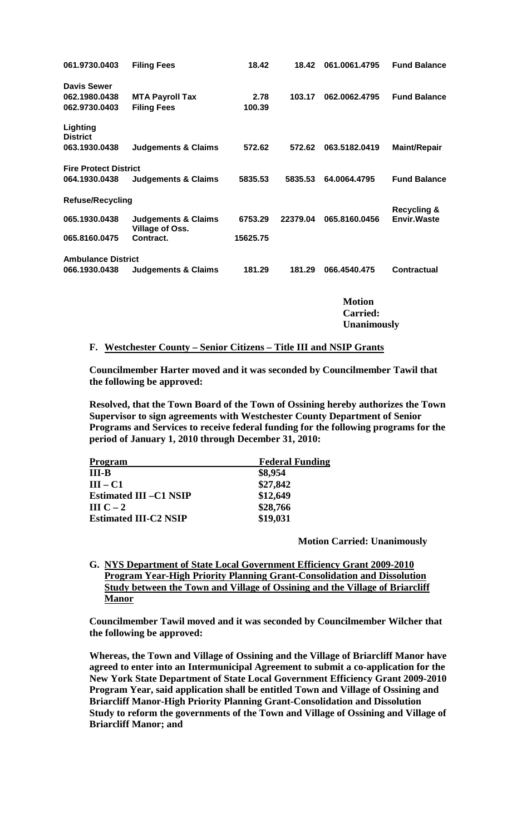| 061.9730.0403                | <b>Filing Fees</b>                                       | 18.42    | 18.42    | 061.0061.4795   | <b>Fund Balance</b>                           |
|------------------------------|----------------------------------------------------------|----------|----------|-----------------|-----------------------------------------------|
| <b>Davis Sewer</b>           |                                                          |          |          |                 |                                               |
| 062.1980.0438                | <b>MTA Payroll Tax</b>                                   | 2.78     | 103.17   | 062.0062.4795   | <b>Fund Balance</b>                           |
| 062.9730.0403                | <b>Filing Fees</b>                                       | 100.39   |          |                 |                                               |
| Lighting<br><b>District</b>  |                                                          |          |          |                 |                                               |
| 063.1930.0438                | <b>Judgements &amp; Claims</b>                           | 572.62   | 572.62   | 063.5182.0419   | <b>Maint/Repair</b>                           |
| <b>Fire Protect District</b> |                                                          |          |          |                 |                                               |
| 064.1930.0438                | <b>Judgements &amp; Claims</b>                           | 5835.53  | 5835.53  | 64.0064.4795    | <b>Fund Balance</b>                           |
| <b>Refuse/Recycling</b>      |                                                          |          |          |                 |                                               |
| 065.1930.0438                | <b>Judgements &amp; Claims</b><br><b>Village of Oss.</b> | 6753.29  | 22379.04 | 065.8160.0456   | <b>Recycling &amp;</b><br><b>Envir.</b> Waste |
| 065.8160.0475                | Contract.                                                | 15625.75 |          |                 |                                               |
| <b>Ambulance District</b>    |                                                          |          |          |                 |                                               |
| 066.1930.0438                | <b>Judgements &amp; Claims</b>                           | 181.29   | 181.29   | 066.4540.475    | Contractual                                   |
|                              |                                                          |          |          |                 |                                               |
|                              |                                                          |          |          | <b>Motion</b>   |                                               |
|                              |                                                          |          |          | <b>Carried:</b> |                                               |

**Unanimously**

#### **F. Westchester County – Senior Citizens – Title III and NSIP Grants**

**Councilmember Harter moved and it was seconded by Councilmember Tawil that the following be approved:**

**Resolved, that the Town Board of the Town of Ossining hereby authorizes the Town Supervisor to sign agreements with Westchester County Department of Senior Programs and Services to receive federal funding for the following programs for the period of January 1, 2010 through December 31, 2010:**

| <b>Program</b>                | <b>Federal Funding</b> |  |  |
|-------------------------------|------------------------|--|--|
| $III-B$                       | \$8,954                |  |  |
| $III - C1$                    | \$27,842               |  |  |
| <b>Estimated III -C1 NSIP</b> | \$12,649               |  |  |
| III $C-2$                     | \$28,766               |  |  |
| <b>Estimated III-C2 NSIP</b>  | \$19,031               |  |  |

**Motion Carried: Unanimously**

**G. NYS Department of State Local Government Efficiency Grant 2009-2010 Program Year-High Priority Planning Grant-Consolidation and Dissolution Study between the Town and Village of Ossining and the Village of Briarcliff Manor** 

**Councilmember Tawil moved and it was seconded by Councilmember Wilcher that the following be approved:**

**Whereas, the Town and Village of Ossining and the Village of Briarcliff Manor have agreed to enter into an Intermunicipal Agreement to submit a co-application for the New York State Department of State Local Government Efficiency Grant 2009-2010 Program Year, said application shall be entitled Town and Village of Ossining and Briarcliff Manor-High Priority Planning Grant-Consolidation and Dissolution Study to reform the governments of the Town and Village of Ossining and Village of Briarcliff Manor; and**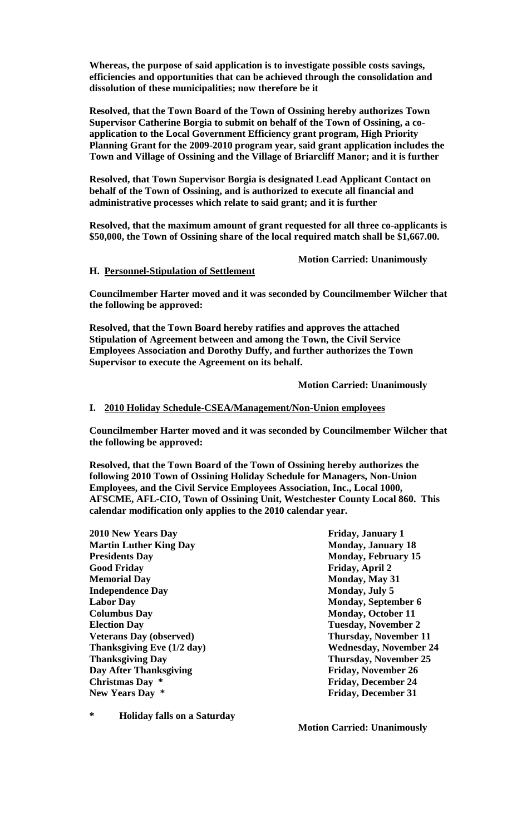**Whereas, the purpose of said application is to investigate possible costs savings, efficiencies and opportunities that can be achieved through the consolidation and dissolution of these municipalities; now therefore be it**

**Resolved, that the Town Board of the Town of Ossining hereby authorizes Town Supervisor Catherine Borgia to submit on behalf of the Town of Ossining, a coapplication to the Local Government Efficiency grant program, High Priority Planning Grant for the 2009-2010 program year, said grant application includes the Town and Village of Ossining and the Village of Briarcliff Manor; and it is further**

**Resolved, that Town Supervisor Borgia is designated Lead Applicant Contact on behalf of the Town of Ossining, and is authorized to execute all financial and administrative processes which relate to said grant; and it is further**

**Resolved, that the maximum amount of grant requested for all three co-applicants is \$50,000, the Town of Ossining share of the local required match shall be \$1,667.00.**

**Motion Carried: Unanimously**

#### **H. Personnel-Stipulation of Settlement**

**Councilmember Harter moved and it was seconded by Councilmember Wilcher that the following be approved:**

**Resolved, that the Town Board hereby ratifies and approves the attached Stipulation of Agreement between and among the Town, the Civil Service Employees Association and Dorothy Duffy, and further authorizes the Town Supervisor to execute the Agreement on its behalf.**

**Motion Carried: Unanimously**

### **I. 2010 Holiday Schedule-CSEA/Management/Non-Union employees**

**Councilmember Harter moved and it was seconded by Councilmember Wilcher that the following be approved:**

**Resolved, that the Town Board of the Town of Ossining hereby authorizes the following 2010 Town of Ossining Holiday Schedule for Managers, Non-Union Employees, and the Civil Service Employees Association, Inc., Local 1000, AFSCME, AFL-CIO, Town of Ossining Unit, Westchester County Local 860. This calendar modification only applies to the 2010 calendar year.** 

**2010 New Years Day Friday, January 1 Martin Luther King Day Monday, January 18 Presidents Day Monday, February 15 Good Friday Friday, April 2 Memorial Day Monday, May 31 Independence Day Monday, July 5 Labor Day Monday, September 6 Columbus Day Monday, October 11 Election Day Tuesday, November 2 Veterans Day (observed) Thursday, November 11 Thanksgiving Eve (1/2 day) Wednesday, November 24 Thanksgiving Day Thursday, November 25 Day After Thanksgiving Friday, November 26 Christmas Day \* Friday, December 24 New Years Day \* Friday, December 31**

**\* Holiday falls on a Saturday**

**Motion Carried: Unanimously**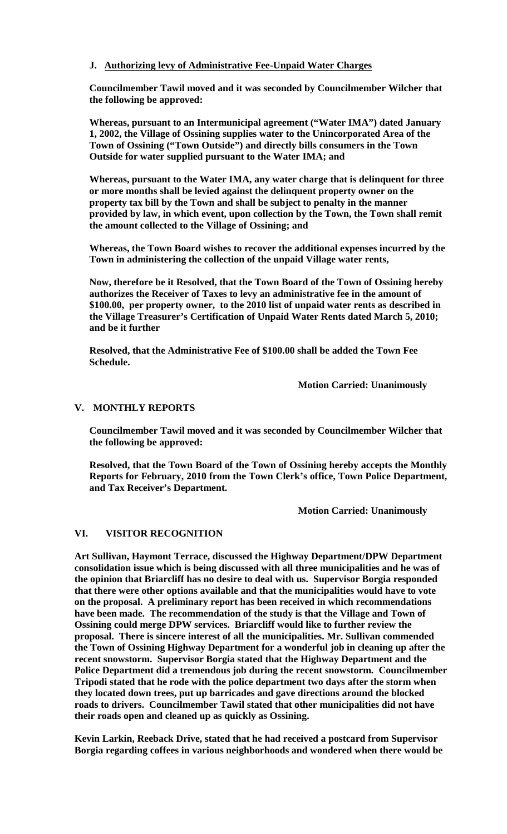# **J. Authorizing levy of Administrative Fee-Unpaid Water Charges**

**Councilmember Tawil moved and it was seconded by Councilmember Wilcher that the following be approved:**

**Whereas, pursuant to an Intermunicipal agreement ("Water IMA") dated January 1, 2002, the Village of Ossining supplies water to the Unincorporated Area of the Town of Ossining ("Town Outside") and directly bills consumers in the Town Outside for water supplied pursuant to the Water IMA; and**

**Whereas, pursuant to the Water IMA, any water charge that is delinquent for three or more months shall be levied against the delinquent property owner on the property tax bill by the Town and shall be subject to penalty in the manner provided by law, in which event, upon collection by the Town, the Town shall remit the amount collected to the Village of Ossining; and** 

**Whereas, the Town Board wishes to recover the additional expenses incurred by the Town in administering the collection of the unpaid Village water rents,**

**Now, therefore be it Resolved, that the Town Board of the Town of Ossining hereby authorizes the Receiver of Taxes to levy an administrative fee in the amount of \$100.00, per property owner, to the 2010 list of unpaid water rents as described in the Village Treasurer's Certification of Unpaid Water Rents dated March 5, 2010; and be it further** 

**Resolved, that the Administrative Fee of \$100.00 shall be added the Town Fee Schedule.** 

**Motion Carried: Unanimously**

### **V. MONTHLY REPORTS**

**Councilmember Tawil moved and it was seconded by Councilmember Wilcher that the following be approved:**

**Resolved, that the Town Board of the Town of Ossining hereby accepts the Monthly Reports for February, 2010 from the Town Clerk's office, Town Police Department, and Tax Receiver's Department.** 

**Motion Carried: Unanimously**

#### **VI. VISITOR RECOGNITION**

**Art Sullivan, Haymont Terrace, discussed the Highway Department/DPW Department consolidation issue which is being discussed with all three municipalities and he was of the opinion that Briarcliff has no desire to deal with us. Supervisor Borgia responded that there were other options available and that the municipalities would have to vote on the proposal. A preliminary report has been received in which recommendations have been made. The recommendation of the study is that the Village and Town of Ossining could merge DPW services. Briarcliff would like to further review the proposal. There is sincere interest of all the municipalities. Mr. Sullivan commended the Town of Ossining Highway Department for a wonderful job in cleaning up after the recent snowstorm. Supervisor Borgia stated that the Highway Department and the Police Department did a tremendous job during the recent snowstorm. Councilmember Tripodi stated that he rode with the police department two days after the storm when they located down trees, put up barricades and gave directions around the blocked roads to drivers. Councilmember Tawil stated that other municipalities did not have their roads open and cleaned up as quickly as Ossining.**

**Kevin Larkin, Reeback Drive, stated that he had received a postcard from Supervisor Borgia regarding coffees in various neighborhoods and wondered when there would be**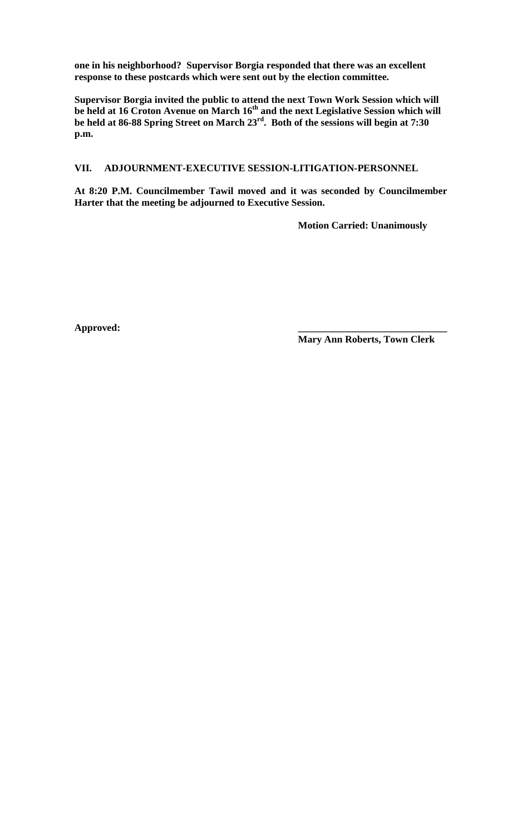**one in his neighborhood? Supervisor Borgia responded that there was an excellent response to these postcards which were sent out by the election committee.**

**Supervisor Borgia invited the public to attend the next Town Work Session which will**  be held at 16 Croton Avenue on March 16<sup>th</sup> and the next Legislative Session which will **be held at 86-88 Spring Street on March 23rd. Both of the sessions will begin at 7:30 p.m.** 

# **VII. ADJOURNMENT-EXECUTIVE SESSION-LITIGATION-PERSONNEL**

**At 8:20 P.M. Councilmember Tawil moved and it was seconded by Councilmember Harter that the meeting be adjourned to Executive Session.** 

**Motion Carried: Unanimously** 

**Approved: \_\_\_\_\_\_\_\_\_\_\_\_\_\_\_\_\_\_\_\_\_\_\_\_\_\_\_\_\_\_**

**Mary Ann Roberts, Town Clerk**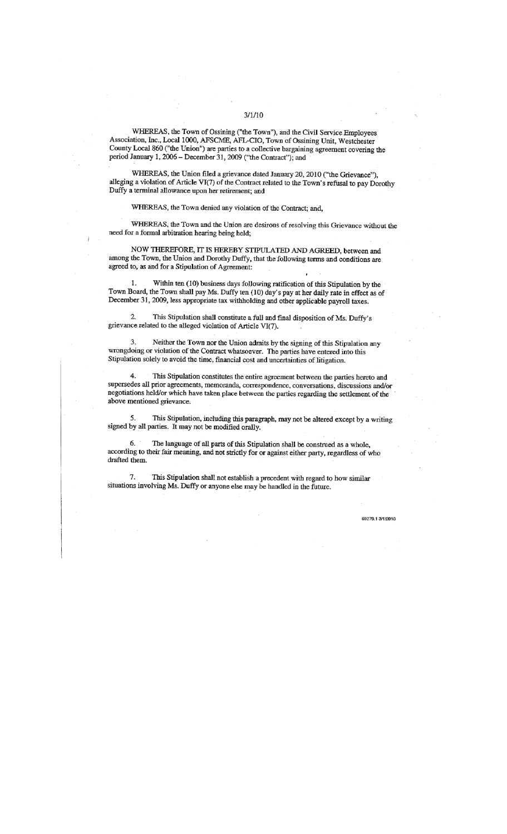WHEREAS, the Town of Ossining ("the Town"), and the Civil Service Employees Association, Inc., Local 1000, AFSCME, AFL-CIO, Town of Ossining Unit, Westchester County Local 860 ("the Union") are parties to a collective bargaining agreement covering the period January 1, 2006 - December 31, 2009 ("the Contract"); and

WHEREAS, the Union filed a grievance dated January 20, 2010 ("the Grievance"), alleging a violation of Article VI(7) of the Contract related to the Town's refusal to pay Dorothy Duffy a terminal allowance upon her retirement; and

WHEREAS, the Town denied any violation of the Contract; and,

WHEREAS, the Town and the Union are desirous of resolving this Grievance without the need for a formal arbitration hearing being held;

NOW THEREFORE, IT IS HEREBY STIPULATED AND AGREED, between and among the Town, the Union and Dorothy Duffy, that the following terms and conditions are agreed to, as and for a Stipulation of Agreement:

Within ten (10) business days following ratification of this Stipulation by the 1. Town Board, the Town shall pay Ms. Duffy ten (10) day's pay at her daily rate in effect as of December 31, 2009, less appropriate tax withholding and other applicable payroll taxes.

This Stipulation shall constitute a full and final disposition of Ms. Duffy's 2. grievance related to the alleged violation of Article VI(7).

3. Neither the Town nor the Union admits by the signing of this Stipulation any wrongdoing or violation of the Contract whatsoever. The parties have entered into this Stipulation solely to avoid the time, financial cost and uncertainties of litigation.

This Stipulation constitutes the entire agreement between the parties hereto and supersedes all prior agreements, memoranda, correspondence, conversations, discussions and/or negotiations held/or which have taken place between the parties regarding the settlement of the above mentioned grievance.

5. This Stipulation, including this paragraph, may not be altered except by a writing signed by all parties. It may not be modified orally.

6. The language of all parts of this Stipulation shall be construed as a whole, according to their fair meaning, and not strictly for or against either party, regardless of who drafted them.

7. This Stipulation shall not establish a precedent with regard to how similar situations involving Ms. Duffy or anyone else may be handled in the future.

69279.13/1/2010